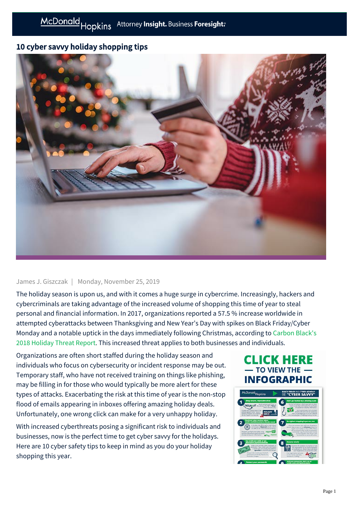## 10 cyber savvy holiday shopping tips



## James J. Giszczak | Monday, November 25, 2019

The holiday season is upon us, and with it comes a huge surge in cybercrime. Increasingly, hackers and cybercriminals are taking advantage of the increased volume of shopping this time of year to steal personal and financial information. In 2017, organizations reported a 57.5 % increase worldwide in attempted cyberattacks between Thanksgiving and New Year's Day with spikes on Black Friday/Cyber [Monday and a notable uptick in the days immediately following Christmas, according to Carbon Black's](https://www.carbonblack.com/2018-holiday-threat-report/) 2018 Holiday Threat Report. This increased threat applies to both businesses and individuals.

Organizations are often short staffed during the holiday season and individuals who focus on cybersecurity or incident response may be out. Temporary staff, who have not received training on things like phishing, may be filling in for those who would typically be more alert for these types of attacks. Exacerbating the risk at this time of year is the non-stop flood of emails appearing in inboxes offering amazing holiday deals. Unfortunately, one wrong click can make for a very unhappy holiday.

With increased cyberthreats posing a significant risk to individuals and businesses, now is the perfect time to get cyber savvy for the holidays. Here are 10 cyber safety tips to keep in mind as you do your holiday shopping this year.

## **CLICK HERE TO VIEW THE INFOGRAPHIC**

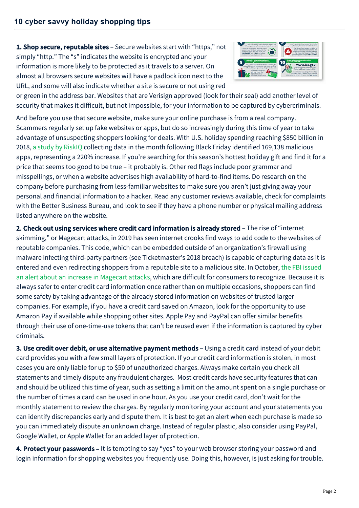1. Shop secure, reputable sites - Secure websites start with "https," not simply "http." The "s" indicates the website is encrypted and your information is more likely to be protected as it travels to a server. On almost all browsers secure websites will have a padlock icon next to the URL, and some will also indicate whether a site is secure or not using red



or green in the address bar. Websites that are Verisign approved (look for their seal) add another level of security that makes it difficult, but not impossible, for your information to be captured by cybercriminals.

And before you use that secure website, make sure your online purchase is from a real company. Scammers regularly set up fake websites or apps, but do so increasingly during this time of year to take advantage of unsuspecting shoppers looking for deals. With U.S. holiday spending reaching \$850 billion in 2018, [a study by RiskIQ](https://www.cyberdefensemagazine.com/how-cyber-criminals-capitalized-on-the-2018-holiday-shopping-season/) collecting data in the month following Black Friday identified 169,138 malicious apps, representing a 220% increase. If you're searching for this season's hottest holiday gift and find it for a price that seems too good to be true – it probably is. Other red flags include poor grammar and misspellings, or when a website advertises high availability of hard-to-find items. Do research on the company before purchasing from less-familiar websites to make sure you aren't just giving away your personal and financial information to a hacker. Read any customer reviews available, check for complaints with the Better Business Bureau, and look to see if they have a phone number or physical mailing address listed anywhere on the website.

2. Check out using services where credit card information is already stored - The rise of "internet skimming," or Magecart attacks, in 2019 has seen internet crooks find ways to add code to the websites of reputable companies. This code, which can be embedded outside of an organization's firewall using malware infecting third-party partners (see Ticketmaster's 2018 breach) is capable of capturing data as it is [entered and even redirecting shoppers from a reputable site to a malicious site. In October, the FBI issued](https://www.fbi.gov/contact-us/field-offices/portland/news/press-releases/oregon-fbi-tech-tuesday-building-a-digital-defense-agaist-e-skimming) an alert about an increase in Magecart attacks, which are difficult for consumers to recognize. Because it is always safer to enter credit card information once rather than on multiple occasions, shoppers can find some safety by taking advantage of the already stored information on websites of trusted larger companies. For example, if you have a credit card saved on Amazon, look for the opportunity to use Amazon Pay if available while shopping other sites. Apple Pay and PayPal can offer similar benefits through their use of one-time-use tokens that can't be reused even if the information is captured by cyber criminals.

3. Use credit over debit, or use alternative payment methods - Using a credit card instead of your debit card provides you with a few small layers of protection. If your credit card information is stolen, in most cases you are only liable for up to \$50 of unauthorized charges. Always make certain you check all statements and timely dispute any fraudulent charges. Most credit cards have security features that can and should be utilized this time of year, such as setting a limit on the amount spent on a single purchase or the number of times a card can be used in one hour. As you use your credit card, don't wait for the monthly statement to review the charges. By regularly monitoring your account and your statements you can identify discrepancies early and dispute them. It is best to get an alert when each purchase is made so you can immediately dispute an unknown charge. Instead of regular plastic, also consider using PayPal, Google Wallet, or Apple Wallet for an added layer of protection.

4. Protect your passwords - It is tempting to say "yes" to your web browser storing your password and login information for shopping websites you frequently use. Doing this, however, is just asking for trouble.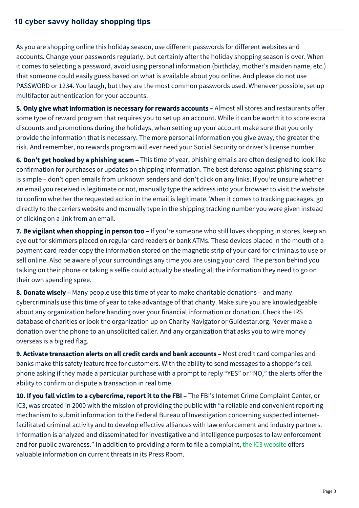As you are shopping online this holiday season, use different passwords for different websites and accounts. Change your passwords regularly, but certainly after the holiday shopping season is over. When it comes to selecting a password, avoid using personal information (birthday, mother's maiden name, etc.) that someone could easily guess based on what is available about you online. And please do not use PASSWORD or 1234. You laugh, but they are the most common passwords used. Whenever possible, set up multifactor authentication for your accounts.

5. Only give what information is necessary for rewards accounts - Almost all stores and restaurants offer some type of reward program that requires you to set up an account. While it can be worth it to score extra discounts and promotions during the holidays, when setting up your account make sure that you only provide the information that is necessary. The more personal information you give away, the greater the risk. And remember, no rewards program will ever need your Social Security or driver's license number.

6. Don't get hooked by a phishing scam – This time of year, phishing emails are often designed to look like confirmation for purchases or updates on shipping information. The best defense against phishing scams is simple – don't open emails from unknown senders and don't click on any links. If you're unsure whether an email you received is legitimate or not, manually type the address into your browser to visit the website to confirm whether the requested action in the email is legitimate. When it comes to tracking packages, go directly to the carriers website and manually type in the shipping tracking number you were given instead of clicking on a link from an email.

7. Be vigilant when shopping in person too - If you're someone who still loves shopping in stores, keep an eye out for skimmers placed on regular card readers or bank ATMs. These devices placed in the mouth of a payment card reader copy the information stored on the magnetic strip of your card for criminals to use or sell online. Also be aware of your surroundings any time you are using your card. The person behind you talking on their phone or taking a selfie could actually be stealing all the information they need to go on their own spending spree.

8. Donate wisely – Many people use this time of year to make charitable donations – and many cybercriminals use this time of year to take advantage of that charity. Make sure you are knowledgeable about any organization before handing over your financial information or donation. Check the IRS database of charities or look the organization up on Charity Navigator or Guidestar.org. Never make a donation over the phone to an unsolicited caller. And any organization that asks you to wire money overseas is a big red flag.

9. Activate transaction alerts on all credit cards and bank accounts - Most credit card companies and banks make this safety feature free for customers. With the ability to send messages to a shopper's cell phone asking if they made a particular purchase with a prompt to reply "YES" or "NO," the alerts offer the ability to confirm or dispute a transaction in real time.

10. If you fall victim to a cybercrime, report it to the FBI - The FBI's Internet Crime Complaint Center, or IC3, was created in 2000 with the mission of providing the public with "a reliable and convenient reporting mechanism to submit information to the Federal Bureau of Investigation concerning suspected internetfacilitated criminal activity and to develop effective alliances with law enforcement and industry partners. Information is analyzed and disseminated for investigative and intelligence purposes to law enforcement and for public awareness." In addition to providing a form to file a complaint, [the IC3 website](https://www.us-cert.gov/ncas/tips/ST07-001) offers valuable information on current threats in its Press Room.